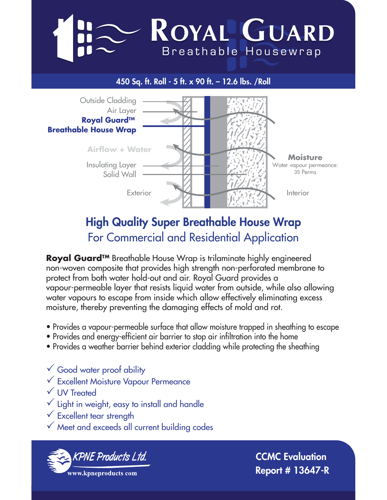# ROYAL GUARD Breathable Housewrap

### 450 Sq. ft. Roll - 5 ft. x 90 ft. – 12.6 lbs. /Roll



## High Quality Super Breathable House Wrap For Commercial and Residential Application

**Royal Guard™** Breathable House Wrap is trilaminate highly engineered non-woven composite that provides high strength non-perforated membrane to protect from both water hold-out and air. Royal Guard provides a vapour-permeable layer that resists liquid water from outside, while also allowing water vapours to escape from inside which allow effectively eliminating excess moisture, thereby preventing the damaging effects of mold and rot.

- Provides a vapour-permeable surface that allow moisture trapped in sheathing to escape
- Provides and energy-efficient air barrier to stop air infiltration into the home
- Provides a weather barrier behind exterior cladding while protecting the sheathing

 $\checkmark$  Good water proof ability  $\checkmark$  Excellent Moisture Vapour Permeance  $\checkmark$  UV Treated  $\checkmark$  Light in weight, easy to install and handle  $\checkmark$  Excellent tear strength

 $\checkmark$  Meet and exceeds all current building codes



CCMC Evaluation Report # 13647-R